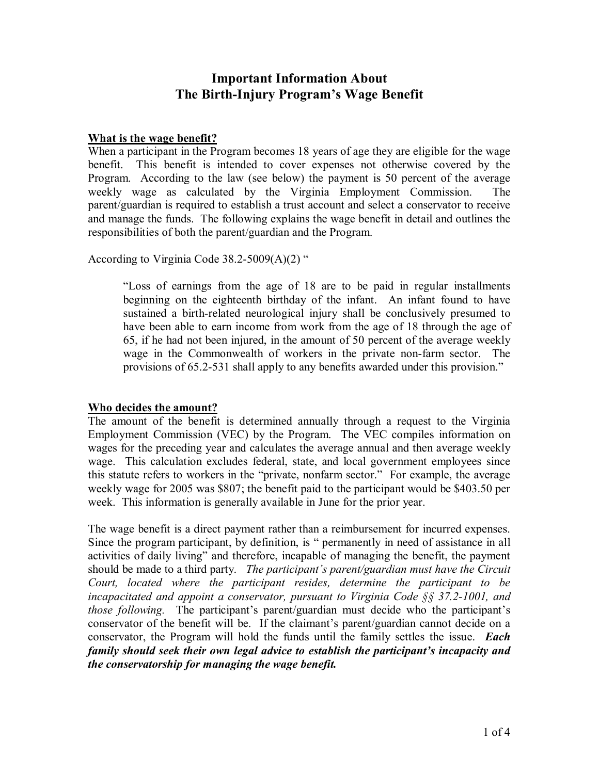# **Important Information About The Birth-Injury Program's Wage Benefit**

#### **What is the wage benefit?**

When a participant in the Program becomes 18 years of age they are eligible for the wage benefit. This benefit is intended to cover expenses not otherwise covered by the Program. According to the law (see below) the payment is 50 percent of the average weekly wage as calculated by the Virginia Employment Commission. The parent/guardian is required to establish a trust account and select a conservator to receive and manage the funds. The following explains the wage benefit in detail and outlines the responsibilities of both the parent/guardian and the Program.

According to Virginia Code 38.2-5009(A)(2) "

"Loss of earnings from the age of 18 are to be paid in regular installments beginning on the eighteenth birthday of the infant. An infant found to have sustained a birth-related neurological injury shall be conclusively presumed to have been able to earn income from work from the age of 18 through the age of 65, if he had not been injured, in the amount of 50 percent of the average weekly wage in the Commonwealth of workers in the private non-farm sector. The provisions of 65.2-531 shall apply to any benefits awarded under this provision."

## **Who decides the amount?**

The amount of the benefit is determined annually through a request to the Virginia Employment Commission (VEC) by the Program. The VEC compiles information on wages for the preceding year and calculates the average annual and then average weekly wage. This calculation excludes federal, state, and local government employees since this statute refers to workers in the "private, nonfarm sector." For example, the average weekly wage for 2005 was \$807; the benefit paid to the participant would be \$403.50 per week. This information is generally available in June for the prior year.

The wage benefit is a direct payment rather than a reimbursement for incurred expenses. Since the program participant, by definition, is " permanently in need of assistance in all activities of daily living" and therefore, incapable of managing the benefit, the payment should be made to a third party. *The participant's parent/guardian must have the Circuit Court, located where the participant resides, determine the participant to be incapacitated and appoint a conservator, pursuant to Virginia Code §§ 37.2-1001, and those following.*The participant's parent/guardian must decide who the participant's conservator of the benefit will be. If the claimant's parent/guardian cannot decide on a conservator, the Program will hold the funds until the family settles the issue. *Each family should seek their own legal advice to establish the participant's incapacity and the conservatorship for managing the wage benefit.*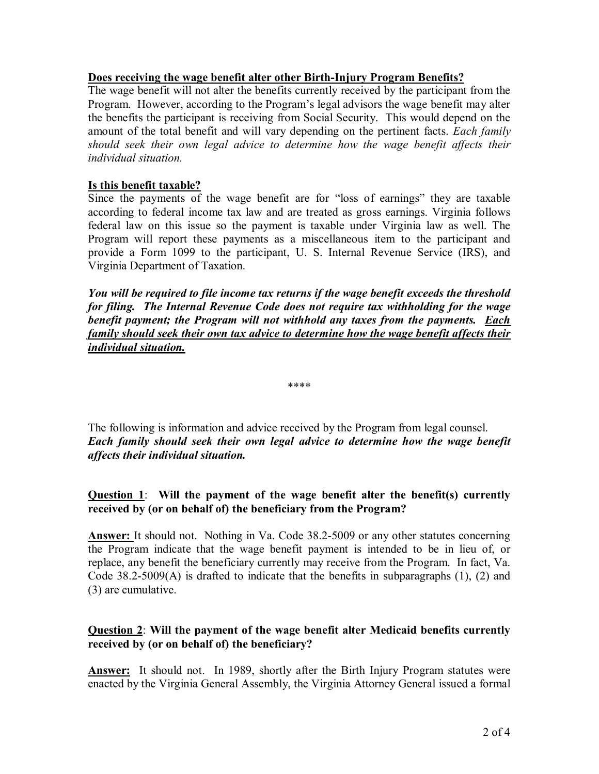### **Does receiving the wage benefit alter other Birth-Injury Program Benefits?**

The wage benefit will not alter the benefits currently received by the participant from the Program. However, according to the Program's legal advisors the wage benefit may alter the benefits the participant is receiving from Social Security. This would depend on the amount of the total benefit and will vary depending on the pertinent facts. *Each family should seek their own legal advice to determine how the wage benefit affects their individual situation.* 

### **Is this benefit taxable?**

Since the payments of the wage benefit are for "loss of earnings" they are taxable according to federal income tax law and are treated as gross earnings. Virginia follows federal law on this issue so the payment is taxable under Virginia law as well. The Program will report these payments as a miscellaneous item to the participant and provide a Form 1099 to the participant, U. S. Internal Revenue Service (IRS), and Virginia Department of Taxation.

*You will be required to file income tax returns if the wage benefit exceeds the threshold for filing. The Internal Revenue Code does not require tax withholding for the wage benefit payment; the Program will not withhold any taxes from the payments.**Each family should seek their own tax advice to determine how the wage benefit affects their individual situation.*

\*\*\*\*

The following is information and advice received by the Program from legal counsel. *Each family should seek their own legal advice to determine how the wage benefit affects their individual situation.* 

## **Question 1**: **Will the payment of the wage benefit alter the benefit(s) currently received by (or on behalf of) the beneficiary from the Program?**

**Answer:** It should not. Nothing in Va. Code 38.2-5009 or any other statutes concerning the Program indicate that the wage benefit payment is intended to be in lieu of, or replace, any benefit the beneficiary currently may receive from the Program. In fact, Va. Code  $38.2-5009(A)$  is drafted to indicate that the benefits in subparagraphs  $(1)$ ,  $(2)$  and (3) are cumulative.

#### **Question 2**: **Will the payment of the wage benefit alter Medicaid benefits currently received by (or on behalf of) the beneficiary?**

**Answer:** It should not. In 1989, shortly after the Birth Injury Program statutes were enacted by the Virginia General Assembly, the Virginia Attorney General issued a formal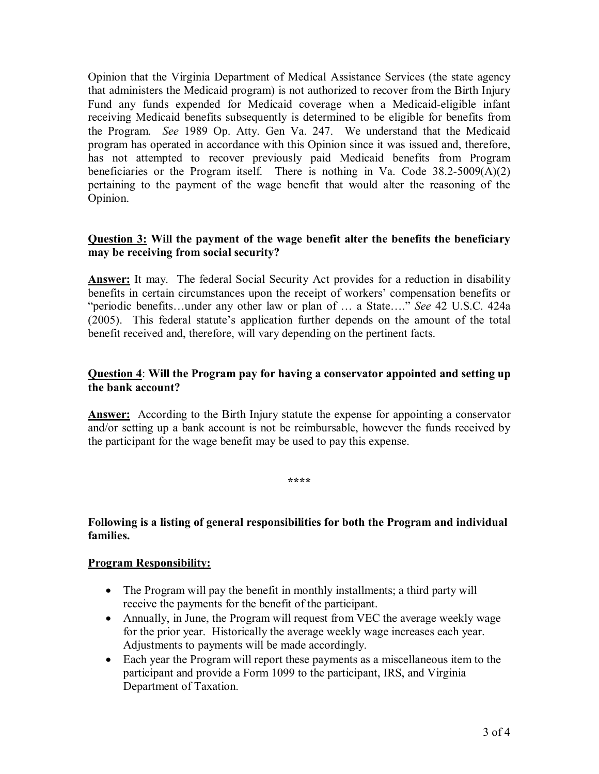Opinion that the Virginia Department of Medical Assistance Services (the state agency that administers the Medicaid program) is not authorized to recover from the Birth Injury Fund any funds expended for Medicaid coverage when a Medicaid-eligible infant receiving Medicaid benefits subsequently is determined to be eligible for benefits from the Program. *See* 1989 Op. Atty. Gen Va. 247. We understand that the Medicaid program has operated in accordance with this Opinion since it was issued and, therefore, has not attempted to recover previously paid Medicaid benefits from Program beneficiaries or the Program itself. There is nothing in Va. Code 38.2-5009(A)(2) pertaining to the payment of the wage benefit that would alter the reasoning of the Opinion.

#### **Question 3: Will the payment of the wage benefit alter the benefits the beneficiary may be receiving from social security?**

**Answer:** It may. The federal Social Security Act provides for a reduction in disability benefits in certain circumstances upon the receipt of workers' compensation benefits or "periodic benefits…under any other law or plan of … a State…." *See* 42 U.S.C. 424a (2005). This federal statute's application further depends on the amount of the total benefit received and, therefore, will vary depending on the pertinent facts.

### **Question 4**: **Will the Program pay for having a conservator appointed and setting up the bank account?**

Answer: According to the Birth Injury statute the expense for appointing a conservator and/or setting up a bank account is not be reimbursable, however the funds received by the participant for the wage benefit may be used to pay this expense.

**\*\*\*\*** 

#### **Following is a listing of general responsibilities for both the Program and individual families.**

## **Program Responsibility:**

- The Program will pay the benefit in monthly installments; a third party will receive the payments for the benefit of the participant.
- Annually, in June, the Program will request from VEC the average weekly wage for the prior year. Historically the average weekly wage increases each year. Adjustments to payments will be made accordingly.
- · Each year the Program will report these payments as a miscellaneous item to the participant and provide a Form 1099 to the participant, IRS, and Virginia Department of Taxation.